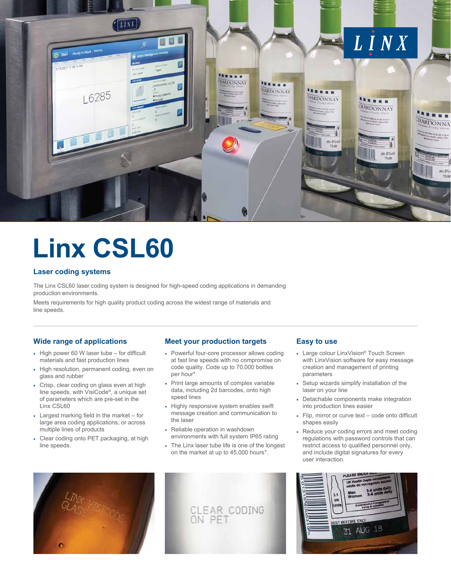

# **Linx CSL60**

# **Laser coding systems**

The Linx CSL60 laser coding system is designed for high-speed coding applications in demanding production environments.

Meets requirements for high quality product coding across the widest range of materials and line speeds.

# **Wide range of applications**

- High power 60 W laser tube for difficult materials and fast production lines
- High resolution, permanent coding, even on glass and rubber
- Crisp, clear coding on glass even at high line speeds, with VisiCode®, a unique set of parameters which are pre-set in the Linx CSL60
- Largest marking field in the market for large area coding applications, or across multiple lines of products
- Clear coding onto PET packaging, at high line speeds.

# **Meet your production targets**

- Powerful four-core processor allows coding at fast line speeds with no compromise on code quality. Code up to 70,000 bottles per hour\*
- Print large amounts of complex variable data, including 2d barcodes, onto high speed lines
- Highly responsive system enables swift message creation and communication to the laser
- Reliable operation in washdown environments with full system IP65 rating
- The Linx laser tube life is one of the longest on the market at up to 45,000 hours\*.

# **Easy to use**

- Large colour LinxVision® Touch Screen with LinxVision software for easy message creation and management of printing parameters
- Setup wizards simplify installation of the laser on your line
- Detachable components make integration into production lines easier
- Flip, mirror or curve text code onto difficult shapes easily
- Reduce your coding errors and meet coding regulations with password controls that can restrict access to qualified personnel only, and include digital signatures for every user interaction.